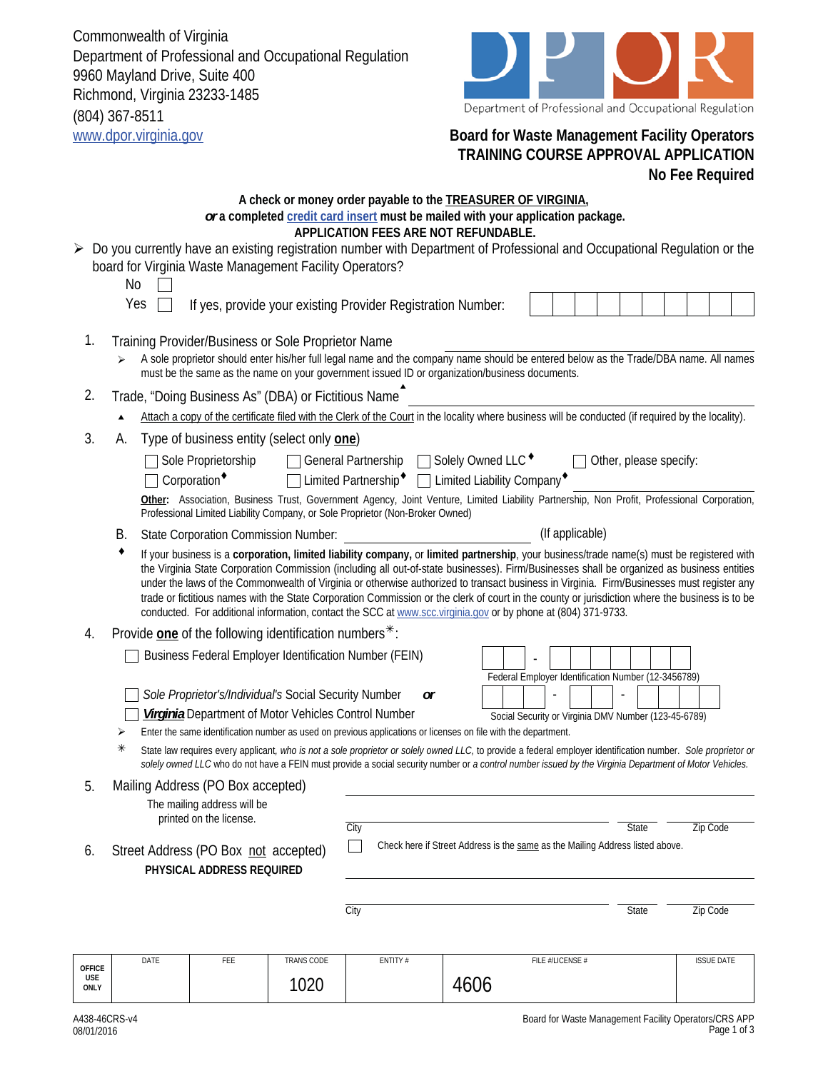Commonwealth of Virginia Department of Professional and Occupational Regulation 9960 Mayland Drive, Suite 400 Richmond, Virginia 23233-1485 (804) 367-8511 www.dpor.virginia.gov **Board for Waste Management Facility Operators**



## **TRAINING COURSE APPROVAL APPLICATION No Fee Required**

|               | <b>No</b><br>Yes                                                                                                                                                                                                                                                                                                                                                                                                                                                                                                                                                                                                                                                                                          |                                                                                                                                                                                                                                                                                             | board for Virginia Waste Management Facility Operators? |            | A check or money order payable to the <b>TREASURER OF VIRGINIA</b> ,<br>or a completed credit card insert must be mailed with your application package.<br>APPLICATION FEES ARE NOT REFUNDABLE.<br>> Do you currently have an existing registration number with Department of Professional and Occupational Regulation or the<br>If yes, provide your existing Provider Registration Number: |      |                  |       |                   |  |  |  |
|---------------|-----------------------------------------------------------------------------------------------------------------------------------------------------------------------------------------------------------------------------------------------------------------------------------------------------------------------------------------------------------------------------------------------------------------------------------------------------------------------------------------------------------------------------------------------------------------------------------------------------------------------------------------------------------------------------------------------------------|---------------------------------------------------------------------------------------------------------------------------------------------------------------------------------------------------------------------------------------------------------------------------------------------|---------------------------------------------------------|------------|----------------------------------------------------------------------------------------------------------------------------------------------------------------------------------------------------------------------------------------------------------------------------------------------------------------------------------------------------------------------------------------------|------|------------------|-------|-------------------|--|--|--|
| 1.            |                                                                                                                                                                                                                                                                                                                                                                                                                                                                                                                                                                                                                                                                                                           | Training Provider/Business or Sole Proprietor Name<br>A sole proprietor should enter his/her full legal name and the company name should be entered below as the Trade/DBA name. All names<br>must be the same as the name on your government issued ID or organization/business documents. |                                                         |            |                                                                                                                                                                                                                                                                                                                                                                                              |      |                  |       |                   |  |  |  |
| 2.            | Trade, "Doing Business As" (DBA) or Fictitious Name                                                                                                                                                                                                                                                                                                                                                                                                                                                                                                                                                                                                                                                       |                                                                                                                                                                                                                                                                                             |                                                         |            |                                                                                                                                                                                                                                                                                                                                                                                              |      |                  |       |                   |  |  |  |
|               | Attach a copy of the certificate filed with the Clerk of the Court in the locality where business will be conducted (if required by the locality).                                                                                                                                                                                                                                                                                                                                                                                                                                                                                                                                                        |                                                                                                                                                                                                                                                                                             |                                                         |            |                                                                                                                                                                                                                                                                                                                                                                                              |      |                  |       |                   |  |  |  |
| 3.            | Type of business entity (select only one)<br>А.<br>General Partnership □ Solely Owned LLC ◆<br>Other, please specify:<br>Sole Proprietorship<br>Limited Partnership <sup>+</sup> □ Limited Liability Company <sup>+</sup><br>$\sqsupset$ Corporation <sup>+</sup><br>Other: Association, Business Trust, Government Agency, Joint Venture, Limited Liability Partnership, Non Profit, Professional Corporation,<br>Professional Limited Liability Company, or Sole Proprietor (Non-Broker Owned)                                                                                                                                                                                                          |                                                                                                                                                                                                                                                                                             |                                                         |            |                                                                                                                                                                                                                                                                                                                                                                                              |      |                  |       |                   |  |  |  |
|               | В.                                                                                                                                                                                                                                                                                                                                                                                                                                                                                                                                                                                                                                                                                                        |                                                                                                                                                                                                                                                                                             | <b>State Corporation Commission Number:</b>             |            |                                                                                                                                                                                                                                                                                                                                                                                              |      | (If applicable)  |       |                   |  |  |  |
|               | If your business is a corporation, limited liability company, or limited partnership, your business/trade name(s) must be registered with<br>the Virginia State Corporation Commission (including all out-of-state businesses). Firm/Businesses shall be organized as business entities<br>under the laws of the Commonwealth of Virginia or otherwise authorized to transact business in Virginia. Firm/Businesses must register any<br>trade or fictitious names with the State Corporation Commission or the clerk of court in the county or jurisdiction where the business is to be<br>conducted. For additional information, contact the SCC at www.scc.virginia.gov or by phone at (804) 371-9733. |                                                                                                                                                                                                                                                                                             |                                                         |            |                                                                                                                                                                                                                                                                                                                                                                                              |      |                  |       |                   |  |  |  |
| 4.            |                                                                                                                                                                                                                                                                                                                                                                                                                                                                                                                                                                                                                                                                                                           |                                                                                                                                                                                                                                                                                             | Provide one of the following identification numbers*:   |            |                                                                                                                                                                                                                                                                                                                                                                                              |      |                  |       |                   |  |  |  |
|               |                                                                                                                                                                                                                                                                                                                                                                                                                                                                                                                                                                                                                                                                                                           |                                                                                                                                                                                                                                                                                             |                                                         |            | Business Federal Employer Identification Number (FEIN)                                                                                                                                                                                                                                                                                                                                       |      |                  |       |                   |  |  |  |
|               | Federal Employer Identification Number (12-3456789)<br>Sole Proprietor's/Individual's Social Security Number<br><b>or</b><br><b>Virginia</b> Department of Motor Vehicles Control Number<br>Social Security or Virginia DMV Number (123-45-6789)<br>Enter the same identification number as used on previous applications or licenses on file with the department.<br>➤<br>⋇<br>State law requires every applicant, who is not a sole proprietor or solely owned LLC, to provide a federal employer identification number. Sole proprietor or<br>solely owned LLC who do not have a FEIN must provide a social security number or a control number issued by the Virginia Department of Motor Vehicles.   |                                                                                                                                                                                                                                                                                             |                                                         |            |                                                                                                                                                                                                                                                                                                                                                                                              |      |                  |       |                   |  |  |  |
|               |                                                                                                                                                                                                                                                                                                                                                                                                                                                                                                                                                                                                                                                                                                           |                                                                                                                                                                                                                                                                                             | Mailing Address (PO Box accepted)                       |            |                                                                                                                                                                                                                                                                                                                                                                                              |      |                  |       |                   |  |  |  |
|               |                                                                                                                                                                                                                                                                                                                                                                                                                                                                                                                                                                                                                                                                                                           |                                                                                                                                                                                                                                                                                             | The mailing address will be<br>printed on the license.  |            | City                                                                                                                                                                                                                                                                                                                                                                                         |      |                  | State | Zip Code          |  |  |  |
| 6.            | Check here if Street Address is the same as the Mailing Address listed above.<br>Street Address (PO Box not accepted)                                                                                                                                                                                                                                                                                                                                                                                                                                                                                                                                                                                     |                                                                                                                                                                                                                                                                                             |                                                         |            |                                                                                                                                                                                                                                                                                                                                                                                              |      |                  |       |                   |  |  |  |
|               | PHYSICAL ADDRESS REQUIRED                                                                                                                                                                                                                                                                                                                                                                                                                                                                                                                                                                                                                                                                                 |                                                                                                                                                                                                                                                                                             |                                                         |            |                                                                                                                                                                                                                                                                                                                                                                                              |      |                  |       |                   |  |  |  |
|               |                                                                                                                                                                                                                                                                                                                                                                                                                                                                                                                                                                                                                                                                                                           |                                                                                                                                                                                                                                                                                             |                                                         |            | City                                                                                                                                                                                                                                                                                                                                                                                         |      |                  | State | Zip Code          |  |  |  |
| <b>OFFICE</b> |                                                                                                                                                                                                                                                                                                                                                                                                                                                                                                                                                                                                                                                                                                           | DATE                                                                                                                                                                                                                                                                                        | FEE                                                     | TRANS CODE | ENTITY #                                                                                                                                                                                                                                                                                                                                                                                     |      | FILE #/LICENSE # |       | <b>ISSUE DATE</b> |  |  |  |
| USE<br>ONLY   |                                                                                                                                                                                                                                                                                                                                                                                                                                                                                                                                                                                                                                                                                                           |                                                                                                                                                                                                                                                                                             |                                                         | 1020       |                                                                                                                                                                                                                                                                                                                                                                                              | 4606 |                  |       |                   |  |  |  |

Page 1 of 3

08/01/2016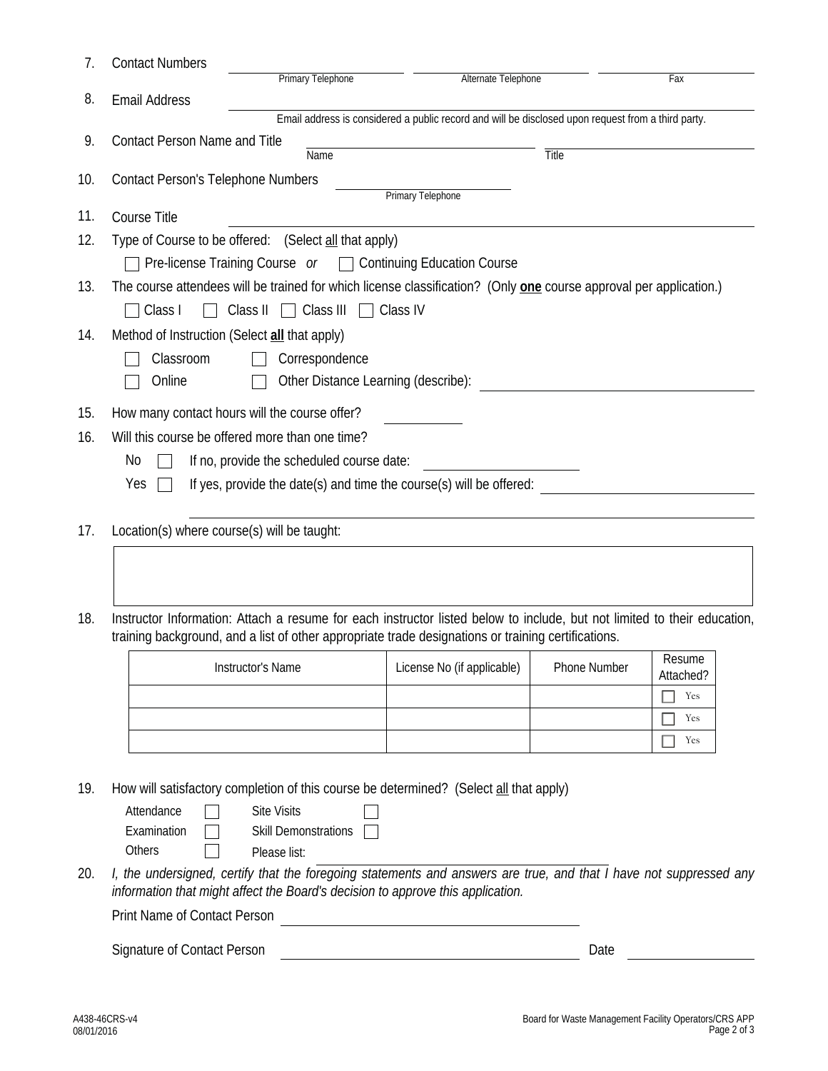| 7.  | <b>Contact Numbers</b>                                                                                                     |                                                                                                                          |                            |              |           |  |  |  |  |  |  |  |
|-----|----------------------------------------------------------------------------------------------------------------------------|--------------------------------------------------------------------------------------------------------------------------|----------------------------|--------------|-----------|--|--|--|--|--|--|--|
|     |                                                                                                                            | Primary Telephone                                                                                                        | Alternate Telephone        |              | Fax       |  |  |  |  |  |  |  |
| 8.  | <b>Email Address</b><br>Email address is considered a public record and will be disclosed upon request from a third party. |                                                                                                                          |                            |              |           |  |  |  |  |  |  |  |
| 9.  | <b>Contact Person Name and Title</b>                                                                                       |                                                                                                                          |                            |              |           |  |  |  |  |  |  |  |
|     |                                                                                                                            | Name                                                                                                                     |                            | <b>Title</b> |           |  |  |  |  |  |  |  |
| 10. | <b>Contact Person's Telephone Numbers</b><br>Primary Telephone                                                             |                                                                                                                          |                            |              |           |  |  |  |  |  |  |  |
| 11. | Course Title                                                                                                               |                                                                                                                          |                            |              |           |  |  |  |  |  |  |  |
| 12. | Type of Course to be offered: (Select all that apply)                                                                      |                                                                                                                          |                            |              |           |  |  |  |  |  |  |  |
|     |                                                                                                                            | Pre-license Training Course $or$ $\Box$ Continuing Education Course                                                      |                            |              |           |  |  |  |  |  |  |  |
| 13. | The course attendees will be trained for which license classification? (Only one course approval per application.)         |                                                                                                                          |                            |              |           |  |  |  |  |  |  |  |
|     | Class IV<br>Class II<br>Class III<br>Class I<br>$\blacksquare$                                                             |                                                                                                                          |                            |              |           |  |  |  |  |  |  |  |
| 14. | Method of Instruction (Select all that apply)                                                                              |                                                                                                                          |                            |              |           |  |  |  |  |  |  |  |
|     | Classroom<br>Correspondence                                                                                                |                                                                                                                          |                            |              |           |  |  |  |  |  |  |  |
|     | Other Distance Learning (describe):<br>Online                                                                              |                                                                                                                          |                            |              |           |  |  |  |  |  |  |  |
|     |                                                                                                                            |                                                                                                                          |                            |              |           |  |  |  |  |  |  |  |
| 15. | How many contact hours will the course offer?                                                                              |                                                                                                                          |                            |              |           |  |  |  |  |  |  |  |
| 16. | Will this course be offered more than one time?                                                                            |                                                                                                                          |                            |              |           |  |  |  |  |  |  |  |
|     | If no, provide the scheduled course date:<br>No                                                                            |                                                                                                                          |                            |              |           |  |  |  |  |  |  |  |
|     | If yes, provide the date(s) and time the course(s) will be offered:<br>Yes                                                 |                                                                                                                          |                            |              |           |  |  |  |  |  |  |  |
| 17. |                                                                                                                            |                                                                                                                          |                            |              |           |  |  |  |  |  |  |  |
|     | Location(s) where course(s) will be taught:                                                                                |                                                                                                                          |                            |              |           |  |  |  |  |  |  |  |
|     |                                                                                                                            |                                                                                                                          |                            |              |           |  |  |  |  |  |  |  |
|     |                                                                                                                            |                                                                                                                          |                            |              |           |  |  |  |  |  |  |  |
| 18. |                                                                                                                            | Instructor Information: Attach a resume for each instructor listed below to include, but not limited to their education, |                            |              |           |  |  |  |  |  |  |  |
|     | training background, and a list of other appropriate trade designations or training certifications.                        |                                                                                                                          |                            |              |           |  |  |  |  |  |  |  |
|     |                                                                                                                            | Instructor's Name                                                                                                        | License No (if applicable) | Phone Number | Resume    |  |  |  |  |  |  |  |
|     |                                                                                                                            |                                                                                                                          |                            |              | Attached? |  |  |  |  |  |  |  |
|     |                                                                                                                            |                                                                                                                          |                            |              | Yes       |  |  |  |  |  |  |  |
|     |                                                                                                                            |                                                                                                                          |                            |              | Yes       |  |  |  |  |  |  |  |
|     |                                                                                                                            |                                                                                                                          |                            |              | Yes       |  |  |  |  |  |  |  |
|     |                                                                                                                            |                                                                                                                          |                            |              |           |  |  |  |  |  |  |  |
| 19. |                                                                                                                            | How will satisfactory completion of this course be determined? (Select all that apply)                                   |                            |              |           |  |  |  |  |  |  |  |
|     | Attendance<br>Examination                                                                                                  | <b>Site Visits</b><br>Skill Demonstrations                                                                               |                            |              |           |  |  |  |  |  |  |  |
|     |                                                                                                                            |                                                                                                                          |                            |              |           |  |  |  |  |  |  |  |

20. *I, the undersigned, certify that the foregoing statements and answers are true, and that I have not suppressed any* 

<u> 1989 - Johann Barn, mars ann an t-Amhainn an t-Amhainn an t-Amhainn an t-Amhainn an t-Amhainn an t-Amhainn an </u>

08/01/2016

**Others** 

Print Name of Contact Person

 $\Box$ 

Please list:

*information that might affect the Board's decision to approve this application.*

Signature of Contact Person **Date**